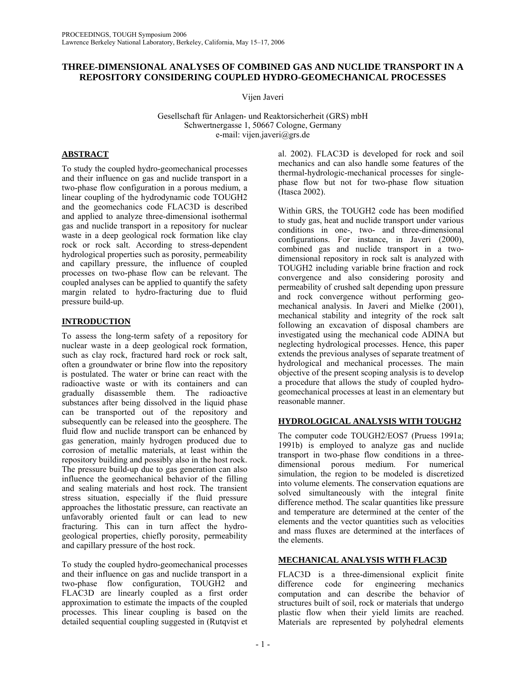## **THREE-DIMENSIONAL ANALYSES OF COMBINED GAS AND NUCLIDE TRANSPORT IN A REPOSITORY CONSIDERING COUPLED HYDRO-GEOMECHANICAL PROCESSES**

Vijen Javeri

Gesellschaft für Anlagen- und Reaktorsicherheit (GRS) mbH Schwertnergasse 1, 50667 Cologne, Germany e-mail: vijen.javeri@grs.de

### **ABSTRACT**

To study the coupled hydro-geomechanical processes and their influence on gas and nuclide transport in a two-phase flow configuration in a porous medium, a linear coupling of the hydrodynamic code TOUGH2 and the geomechanics code FLAC3D is described and applied to analyze three-dimensional isothermal gas and nuclide transport in a repository for nuclear waste in a deep geological rock formation like clay rock or rock salt. According to stress-dependent hydrological properties such as porosity, permeability and capillary pressure, the influence of coupled processes on two-phase flow can be relevant. The coupled analyses can be applied to quantify the safety margin related to hydro-fracturing due to fluid pressure build-up.

## **INTRODUCTION**

To assess the long-term safety of a repository for nuclear waste in a deep geological rock formation, such as clay rock, fractured hard rock or rock salt, often a groundwater or brine flow into the repository is postulated. The water or brine can react with the radioactive waste or with its containers and can gradually disassemble them. The radioactive substances after being dissolved in the liquid phase can be transported out of the repository and subsequently can be released into the geosphere. The fluid flow and nuclide transport can be enhanced by gas generation, mainly hydrogen produced due to corrosion of metallic materials, at least within the repository building and possibly also in the host rock. The pressure build-up due to gas generation can also influence the geomechanical behavior of the filling and sealing materials and host rock. The transient stress situation, especially if the fluid pressure approaches the lithostatic pressure, can reactivate an unfavorably oriented fault or can lead to new fracturing. This can in turn affect the hydrogeological properties, chiefly porosity, permeability and capillary pressure of the host rock.

To study the coupled hydro-geomechanical processes and their influence on gas and nuclide transport in a two-phase flow configuration, TOUGH2 and FLAC3D are linearly coupled as a first order approximation to estimate the impacts of the coupled processes. This linear coupling is based on the detailed sequential coupling suggested in (Rutqvist et

al. 2002). FLAC3D is developed for rock and soil mechanics and can also handle some features of the thermal-hydrologic-mechanical processes for singlephase flow but not for two-phase flow situation (Itasca 2002).

Within GRS, the TOUGH2 code has been modified to study gas, heat and nuclide transport under various conditions in one-, two- and three-dimensional configurations. For instance, in Javeri (2000), combined gas and nuclide transport in a twodimensional repository in rock salt is analyzed with TOUGH2 including variable brine fraction and rock convergence and also considering porosity and permeability of crushed salt depending upon pressure and rock convergence without performing geomechanical analysis. In Javeri and Mielke (2001), mechanical stability and integrity of the rock salt following an excavation of disposal chambers are investigated using the mechanical code ADINA but neglecting hydrological processes. Hence, this paper extends the previous analyses of separate treatment of hydrological and mechanical processes. The main objective of the present scoping analysis is to develop a procedure that allows the study of coupled hydrogeomechanical processes at least in an elementary but reasonable manner.

# **HYDROLOGICAL ANALYSIS WITH TOUGH2**

The computer code TOUGH2/EOS7 (Pruess 1991a; 1991b) is employed to analyze gas and nuclide transport in two-phase flow conditions in a threedimensional porous medium. For numerical simulation, the region to be modeled is discretized into volume elements. The conservation equations are solved simultaneously with the integral finite difference method. The scalar quantities like pressure and temperature are determined at the center of the elements and the vector quantities such as velocities and mass fluxes are determined at the interfaces of the elements.

# **MECHANICAL ANALYSIS WITH FLAC3D**

FLAC3D is a three-dimensional explicit finite difference code for engineering mechanics computation and can describe the behavior of structures built of soil, rock or materials that undergo plastic flow when their yield limits are reached. Materials are represented by polyhedral elements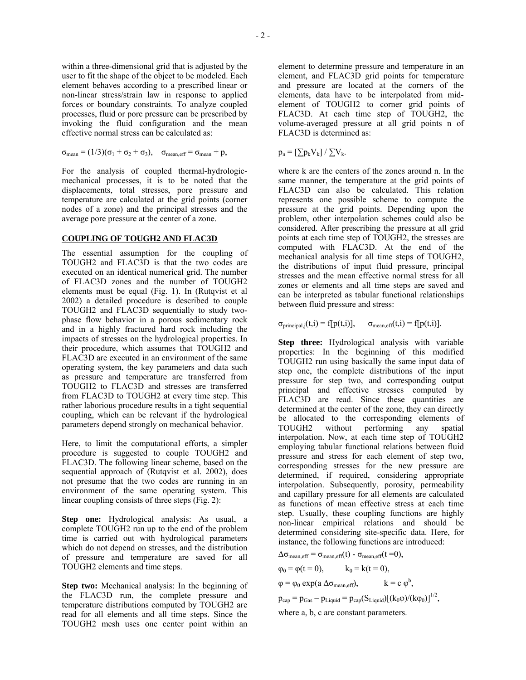within a three-dimensional grid that is adjusted by the user to fit the shape of the object to be modeled. Each element behaves according to a prescribed linear or non-linear stress/strain law in response to applied forces or boundary constraints. To analyze coupled processes, fluid or pore pressure can be prescribed by invoking the fluid configuration and the mean effective normal stress can be calculated as:

$$
\sigma_{mean} = (1/3)(\sigma_1 + \sigma_2 + \sigma_3), \quad \sigma_{mean,eff} = \sigma_{mean} + p,
$$

For the analysis of coupled thermal-hydrologicmechanical processes, it is to be noted that the displacements, total stresses, pore pressure and temperature are calculated at the grid points (corner nodes of a zone) and the principal stresses and the average pore pressure at the center of a zone.

### **COUPLING OF TOUGH2 AND FLAC3D**

The essential assumption for the coupling of TOUGH2 and FLAC3D is that the two codes are executed on an identical numerical grid. The number of FLAC3D zones and the number of TOUGH2 elements must be equal (Fig. 1). In (Rutqvist et al 2002) a detailed procedure is described to couple TOUGH2 and FLAC3D sequentially to study twophase flow behavior in a porous sedimentary rock and in a highly fractured hard rock including the impacts of stresses on the hydrological properties. In their procedure, which assumes that TOUGH2 and FLAC3D are executed in an environment of the same operating system, the key parameters and data such as pressure and temperature are transferred from TOUGH2 to FLAC3D and stresses are transferred from FLAC3D to TOUGH2 at every time step. This rather laborious procedure results in a tight sequential coupling, which can be relevant if the hydrological parameters depend strongly on mechanical behavior.

Here, to limit the computational efforts, a simpler procedure is suggested to couple TOUGH2 and FLAC3D. The following linear scheme, based on the sequential approach of (Rutqvist et al. 2002), does not presume that the two codes are running in an environment of the same operating system. This linear coupling consists of three steps (Fig. 2):

**Step one:** Hydrological analysis: As usual, a complete TOUGH2 run up to the end of the problem time is carried out with hydrological parameters which do not depend on stresses, and the distribution of pressure and temperature are saved for all TOUGH2 elements and time steps.

**Step two:** Mechanical analysis: In the beginning of the FLAC3D run, the complete pressure and temperature distributions computed by TOUGH2 are read for all elements and all time steps. Since the TOUGH2 mesh uses one center point within an

element to determine pressure and temperature in an element, and FLAC3D grid points for temperature and pressure are located at the corners of the elements, data have to be interpolated from midelement of TOUGH2 to corner grid points of FLAC3D. At each time step of TOUGH2, the volume-averaged pressure at all grid points n of FLAC3D is determined as:

 $p_n = \left[\sum p_k V_k\right] / \sum V_k$ .

where k are the centers of the zones around n. In the same manner, the temperature at the grid points of FLAC3D can also be calculated. This relation represents one possible scheme to compute the pressure at the grid points. Depending upon the problem, other interpolation schemes could also be considered. After prescribing the pressure at all grid points at each time step of TOUGH2, the stresses are computed with FLAC3D. At the end of the mechanical analysis for all time steps of TOUGH2, the distributions of input fluid pressure, principal stresses and the mean effective normal stress for all zones or elements and all time steps are saved and can be interpreted as tabular functional relationships between fluid pressure and stress:

 $\sigma_{\text{principal i}}(t,i) = f[p(t,i)], \quad \sigma_{\text{mean eff}}(t,i) = f[p(t,i)].$ 

**Step three:** Hydrological analysis with variable properties: In the beginning of this modified TOUGH2 run using basically the same input data of step one, the complete distributions of the input pressure for step two, and corresponding output principal and effective stresses computed by FLAC3D are read. Since these quantities are determined at the center of the zone, they can directly be allocated to the corresponding elements of TOUGH2 without performing any spatial interpolation. Now, at each time step of TOUGH2 employing tabular functional relations between fluid pressure and stress for each element of step two, corresponding stresses for the new pressure are determined, if required, considering appropriate interpolation. Subsequently, porosity, permeability and capillary pressure for all elements are calculated as functions of mean effective stress at each time step. Usually, these coupling functions are highly non-linear empirical relations and should be determined considering site-specific data. Here, for instance, the following functions are introduced:

$$
\Delta \sigma_{\text{mean,eff}} = \sigma_{\text{mean,eff}}(t) - \sigma_{\text{mean,eff}}(t=0),
$$

 $\varphi_0 = \varphi(t = 0), \qquad k_0 = k(t = 0),$ 

 $\varphi = \varphi_0 \exp(a \Delta \sigma_{mean,eff}), \qquad k = c \varphi^b,$ 

 $p_{cap} = p_{Gas} - p_{Liquid} = p_{cap}(S_{Liquid})[(k_0\varphi)/(k\varphi_0)]^{1/2}$ ,

where a, b, c are constant parameters.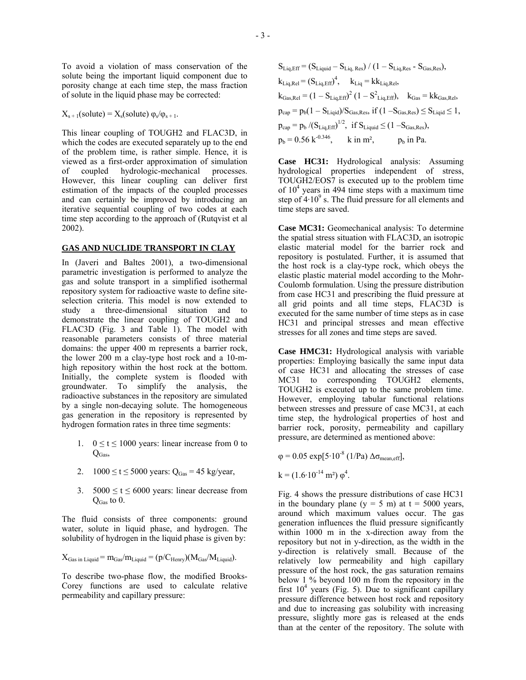To avoid a violation of mass conservation of the solute being the important liquid component due to porosity change at each time step, the mass fraction of solute in the liquid phase may be corrected:

 $X_{s+1}$ (solute) =  $X_s$ (solute)  $\varphi_s/\varphi_{s+1}$ .

This linear coupling of TOUGH2 and FLAC3D, in which the codes are executed separately up to the end of the problem time, is rather simple. Hence, it is viewed as a first-order approximation of simulation of coupled hydrologic-mechanical processes. However, this linear coupling can deliver first estimation of the impacts of the coupled processes and can certainly be improved by introducing an iterative sequential coupling of two codes at each time step according to the approach of (Rutqvist et al 2002).

#### **GAS AND NUCLIDE TRANSPORT IN CLAY**

In (Javeri and Baltes 2001), a two-dimensional parametric investigation is performed to analyze the gas and solute transport in a simplified isothermal repository system for radioactive waste to define siteselection criteria. This model is now extended to study a three-dimensional situation and to demonstrate the linear coupling of TOUGH2 and FLAC3D (Fig. 3 and Table 1). The model with reasonable parameters consists of three material domains: the upper 400 m represents a barrier rock, the lower 200 m a clay-type host rock and a 10-mhigh repository within the host rock at the bottom. Initially, the complete system is flooded with groundwater. To simplify the analysis, the radioactive substances in the repository are simulated by a single non-decaying solute. The homogeneous gas generation in the repository is represented by hydrogen formation rates in three time segments:

- 1.  $0 \le t \le 1000$  years: linear increase from 0 to  $Q_{Gas}$
- 2.  $1000 \le t \le 5000$  years:  $Q_{Gas} = 45$  kg/year,
- 3.  $5000 \le t \le 6000$  years: linear decrease from QGas to 0.

The fluid consists of three components: ground water, solute in liquid phase, and hydrogen. The solubility of hydrogen in the liquid phase is given by:

 $X_{\text{Gas in Liquid}} = m_{\text{Gas}}/m_{\text{Liquid}} = (p/C_{\text{Henry}})(M_{\text{Gas}}/M_{\text{Liquid}}).$ 

To describe two-phase flow, the modified Brooks-Corey functions are used to calculate relative permeability and capillary pressure:

 $S_{\text{Liq,Eff}} = (S_{\text{Liquid}} - S_{\text{Liq},\text{Res}}) / (1 - S_{\text{Liq},\text{Res}} - S_{\text{Gas},\text{Res}}),$  $k_{\text{Liq},\text{Rel}} = (S_{\text{Liq},\text{Eff}})^4$ ,  $k_{\text{Liq}} = k k_{\text{Liq},\text{Rel}}$ ,  $k_{\text{Gas,Rel}} = (1 - S_{\text{Liq,Eff}})^2 (1 - S_{\text{Liq,Eff}}^2), \quad k_{\text{Gas}} = k k_{\text{Gas,Rel}},$  $p_{cap} = p_b(1 - S_{\text{Ligid}})/S_{\text{Gas},\text{Res}}, \text{ if } (1 - S_{\text{Gas},\text{Res}}) \leq S_{\text{Ligid}} \leq 1,$  $p_{cap} = p_b / (S_{Liq,Eff})^{1/2}$ , if  $S_{Liquid} \leq (1 - S_{Gas,Res})$ ,  $p_b = 0.56 \text{ k}^{-0.346}$ , k in m<sup>2</sup>, p<sub>b</sub> in Pa.

**Case HC31:** Hydrological analysis: Assuming hydrological properties independent of stress, TOUGH2/EOS7 is executed up to the problem time of  $10<sup>4</sup>$  years in 494 time steps with a maximum time step of  $4·10<sup>9</sup>$  s. The fluid pressure for all elements and time steps are saved.

**Case MC31:** Geomechanical analysis: To determine the spatial stress situation with FLAC3D, an isotropic elastic material model for the barrier rock and repository is postulated. Further, it is assumed that the host rock is a clay-type rock, which obeys the elastic plastic material model according to the Mohr-Coulomb formulation. Using the pressure distribution from case HC31 and prescribing the fluid pressure at all grid points and all time steps, FLAC3D is executed for the same number of time steps as in case HC31 and principal stresses and mean effective stresses for all zones and time steps are saved.

**Case HMC31:** Hydrological analysis with variable properties: Employing basically the same input data of case HC31 and allocating the stresses of case MC31 to corresponding TOUGH2 elements, TOUGH2 is executed up to the same problem time. However, employing tabular functional relations between stresses and pressure of case MC31, at each time step, the hydrological properties of host and barrier rock, porosity, permeability and capillary pressure, are determined as mentioned above:

$$
\varphi = 0.05 \exp[5.10^{-8} (1/Pa) \Delta \sigma_{mean, eff}],
$$

$$
k = (1.6 \cdot 10^{-14} \text{ m}^2) \varphi^4.
$$

Fig. 4 shows the pressure distributions of case HC31 in the boundary plane  $(y = 5$  m) at  $t = 5000$  years, around which maximum values occur. The gas generation influences the fluid pressure significantly within 1000 m in the x-direction away from the repository but not in y-direction, as the width in the y-direction is relatively small. Because of the relatively low permeability and high capillary pressure of the host rock, the gas saturation remains below 1 % beyond 100 m from the repository in the first  $10<sup>4</sup>$  years (Fig. 5). Due to significant capillary pressure difference between host rock and repository and due to increasing gas solubility with increasing pressure, slightly more gas is released at the ends than at the center of the repository. The solute with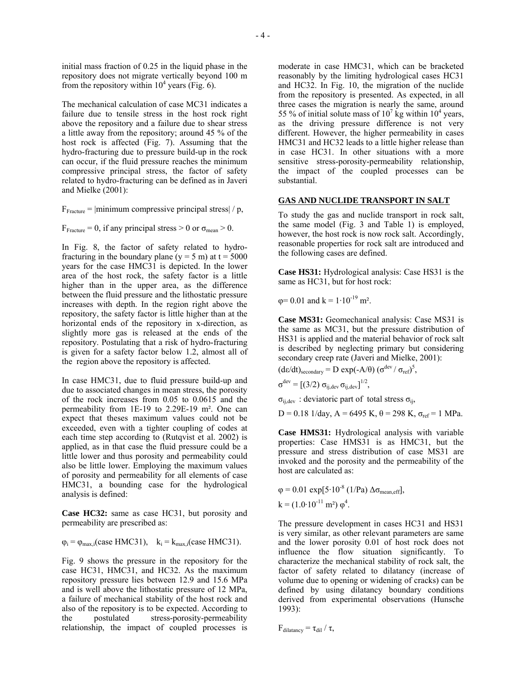initial mass fraction of 0.25 in the liquid phase in the repository does not migrate vertically beyond 100 m from the repository within  $10^4$  years (Fig. 6).

The mechanical calculation of case MC31 indicates a failure due to tensile stress in the host rock right above the repository and a failure due to shear stress a little away from the repository; around 45 % of the host rock is affected (Fig. 7). Assuming that the hydro-fracturing due to pressure build-up in the rock can occur, if the fluid pressure reaches the minimum compressive principal stress, the factor of safety related to hydro-fracturing can be defined as in Javeri and Mielke (2001):

 $F_{\text{Fracture}} = |minimum \text{ compressive principal stress}| / p$ ,

 $F_{\text{Fracture}} = 0$ , if any principal stress > 0 or  $\sigma_{\text{mean}}$  > 0.

In Fig. 8, the factor of safety related to hydrofracturing in the boundary plane ( $y = 5$  m) at  $t = 5000$ years for the case HMC31 is depicted. In the lower area of the host rock, the safety factor is a little higher than in the upper area, as the difference between the fluid pressure and the lithostatic pressure increases with depth. In the region right above the repository, the safety factor is little higher than at the horizontal ends of the repository in x-direction, as slightly more gas is released at the ends of the repository. Postulating that a risk of hydro-fracturing is given for a safety factor below 1.2, almost all of the region above the repository is affected.

In case HMC31, due to fluid pressure build-up and due to associated changes in mean stress, the porosity of the rock increases from 0.05 to 0.0615 and the permeability from 1E-19 to 2.29E-19 m². One can expect that theses maximum values could not be exceeded, even with a tighter coupling of codes at each time step according to (Rutqvist et al. 2002) is applied, as in that case the fluid pressure could be a little lower and thus porosity and permeability could also be little lower. Employing the maximum values of porosity and permeability for all elements of case HMC31, a bounding case for the hydrological analysis is defined:

**Case HC32:** same as case HC31, but porosity and permeability are prescribed as:

 $\varphi_i = \varphi_{\text{max},i}(\text{case HMC31}), \quad k_i = k_{\text{max},i}(\text{case HMC31}).$ 

Fig. 9 shows the pressure in the repository for the case HC31, HMC31, and HC32. As the maximum repository pressure lies between 12.9 and 15.6 MPa and is well above the lithostatic pressure of 12 MPa, a failure of mechanical stability of the host rock and also of the repository is to be expected. According to the postulated stress-porosity-permeability relationship, the impact of coupled processes is

moderate in case HMC31, which can be bracketed reasonably by the limiting hydrological cases HC31 and HC32. In Fig. 10, the migration of the nuclide from the repository is presented. As expected, in all three cases the migration is nearly the same, around 55 % of initial solute mass of  $10^7$  kg within  $10^4$  years, as the driving pressure difference is not very different. However, the higher permeability in cases HMC31 and HC32 leads to a little higher release than in case HC31. In other situations with a more sensitive stress-porosity-permeability relationship, the impact of the coupled processes can be substantial.

#### **GAS AND NUCLIDE TRANSPORT IN SALT**

To study the gas and nuclide transport in rock salt, the same model (Fig. 3 and Table 1) is employed, however, the host rock is now rock salt. Accordingly, reasonable properties for rock salt are introduced and the following cases are defined.

**Case HS31:** Hydrological analysis: Case HS31 is the same as HC31, but for host rock:

$$
\varphi
$$
= 0.01 and k = 1.10<sup>-19</sup> m<sup>2</sup>.

**Case MS31:** Geomechanical analysis: Case MS31 is the same as MC31, but the pressure distribution of HS31 is applied and the material behavior of rock salt is described by neglecting primary but considering secondary creep rate (Javeri and Mielke, 2001):

$$
(d\varepsilon/dt)_{\text{secondary}} = D \exp(-A/\theta) (\sigma^{\text{dev}} / \sigma_{\text{ref}})^5,
$$

$$
\sigma^{dev} = \left[ \left( 3/2 \right) \, \sigma_{ij, dev} \, \sigma_{ij, dev} \right]^{1/2},
$$

 $\sigma_{ij,dev}$  : deviatoric part of total stress  $\sigma_{ij}$ ,

D = 0.18 1/day, A = 6495 K,  $θ = 298$  K,  $σ_{ref} = 1$  MPa.

**Case HMS31:** Hydrological analysis with variable properties: Case HMS31 is as HMC31, but the pressure and stress distribution of case MS31 are invoked and the porosity and the permeability of the host are calculated as:

$$
\varphi = 0.01 \exp[5.10^{8} (1/Pa) \Delta \sigma_{\text{mean,eff}}],
$$
  
k = (1.0.10<sup>-11</sup> m<sup>2</sup>)  $\varphi^4$ .

The pressure development in cases HC31 and HS31 is very similar, as other relevant parameters are same and the lower porosity 0.01 of host rock does not influence the flow situation significantly. To characterize the mechanical stability of rock salt, the factor of safety related to dilatancy (increase of volume due to opening or widening of cracks) can be defined by using dilatancy boundary conditions derived from experimental observations (Hunsche 1993):

 $F_{dilatancy} = \tau_{dil} / \tau$ ,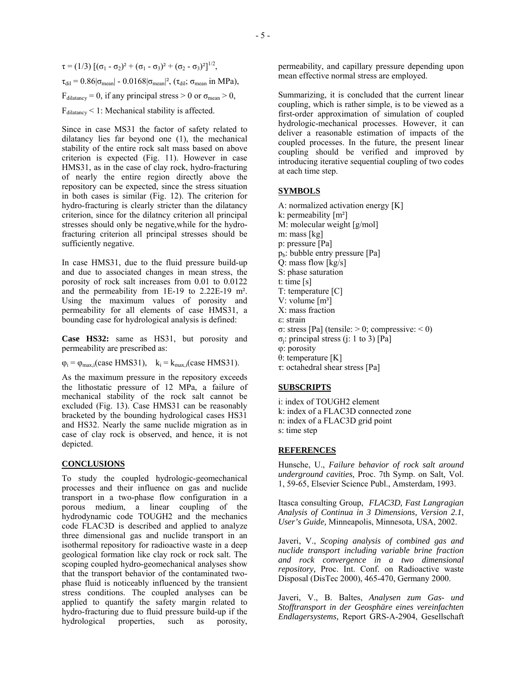$\tau = (1/3) [(\sigma_1 - \sigma_2)^2 + (\sigma_1 - \sigma_3)^2 + (\sigma_2 - \sigma_3)^2]^{1/2}$ ,  $\tau_{\text{dil}} = 0.86|\sigma_{\text{mean}}|$  -  $0.0168|\sigma_{\text{mean}}|^2$ ,  $(\tau_{\text{dil}};\sigma_{\text{mean}})$  in MPa),  $F_{\text{dilatancy}} = 0$ , if any principal stress  $> 0$  or  $\sigma_{\text{mean}} > 0$ ,  $F_{\text{dilatancy}}$  < 1: Mechanical stability is affected.

Since in case MS31 the factor of safety related to dilatancy lies far beyond one (1), the mechanical stability of the entire rock salt mass based on above criterion is expected (Fig. 11). However in case HMS31, as in the case of clay rock, hydro-fracturing of nearly the entire region directly above the repository can be expected, since the stress situation in both cases is similar (Fig. 12). The criterion for hydro-fracturing is clearly stricter than the dilatancy criterion, since for the dilatncy criterion all principal stresses should only be negative,while for the hydrofracturing criterion all principal stresses should be sufficiently negative.

In case HMS31, due to the fluid pressure build-up and due to associated changes in mean stress, the porosity of rock salt increases from 0.01 to 0.0122 and the permeability from 1E-19 to 2.22E-19 m². Using the maximum values of porosity and permeability for all elements of case HMS31, a bounding case for hydrological analysis is defined:

**Case HS32:** same as HS31, but porosity and permeability are prescribed as:

 $\varphi_i = \varphi_{\text{max},i}(\text{case HMS31}), \quad k_i = k_{\text{max},i}(\text{case HMS31}).$ 

As the maximum pressure in the repository exceeds the lithostatic pressure of 12 MPa, a failure of mechanical stability of the rock salt cannot be excluded (Fig. 13). Case HMS31 can be reasonably bracketed by the bounding hydrological cases HS31 and HS32. Nearly the same nuclide migration as in case of clay rock is observed, and hence, it is not depicted.

#### **CONCLUSIONS**

To study the coupled hydrologic-geomechanical processes and their influence on gas and nuclide transport in a two-phase flow configuration in a porous medium, a linear coupling of the hydrodynamic code TOUGH2 and the mechanics code FLAC3D is described and applied to analyze three dimensional gas and nuclide transport in an isothermal repository for radioactive waste in a deep geological formation like clay rock or rock salt. The scoping coupled hydro-geomechanical analyses show that the transport behavior of the contaminated twophase fluid is noticeably influenced by the transient stress conditions. The coupled analyses can be applied to quantify the safety margin related to hydro-fracturing due to fluid pressure build-up if the hydrological properties, such as porosity,

permeability, and capillary pressure depending upon mean effective normal stress are employed.

Summarizing, it is concluded that the current linear coupling, which is rather simple, is to be viewed as a first-order approximation of simulation of coupled hydrologic-mechanical processes. However, it can deliver a reasonable estimation of impacts of the coupled processes. In the future, the present linear coupling should be verified and improved by introducing iterative sequential coupling of two codes at each time step.

### **SYMBOLS**

A: normalized activation energy [K] k: permeability [m²] M: molecular weight [g/mol] m: mass [kg] p: pressure [Pa]  $p_b$ : bubble entry pressure [Pa] Q: mass flow [kg/s] S: phase saturation t: time [s] T: temperature [C] V: volume  $[m^3]$ X: mass fraction ε: strain σ: stress [Pa] (tensile: > 0; compressive: < 0) σj: principal stress (j: 1 to 3) [Pa] φ: porosity θ: temperature [K] τ: octahedral shear stress [Pa]

#### **SUBSCRIPTS**

i: index of TOUGH2 element k: index of a FLAC3D connected zone n: index of a FLAC3D grid point s: time step

#### **REFERENCES**

Hunsche, U., *Failure behavior of rock salt around underground cavities,* Proc. 7th Symp. on Salt, Vol. 1, 59-65, Elsevier Science Publ., Amsterdam, 1993.

Itasca consulting Group, *FLAC3D, Fast Langragian Analysis of Continua in 3 Dimensions, Version 2.1*, *User's Guide,* Minneapolis, Minnesota, USA, 2002.

Javeri, V., *Scoping analysis of combined gas and nuclide transport including variable brine fraction and rock convergence in a two dimensional repository,* Proc. Int. Conf. on Radioactive waste Disposal (DisTec 2000), 465-470, Germany 2000.

Javeri, V., B. Baltes, *Analysen zum Gas- und Stofftransport in der Geosphäre eines vereinfachten Endlagersystems,* Report GRS-A-2904, Gesellschaft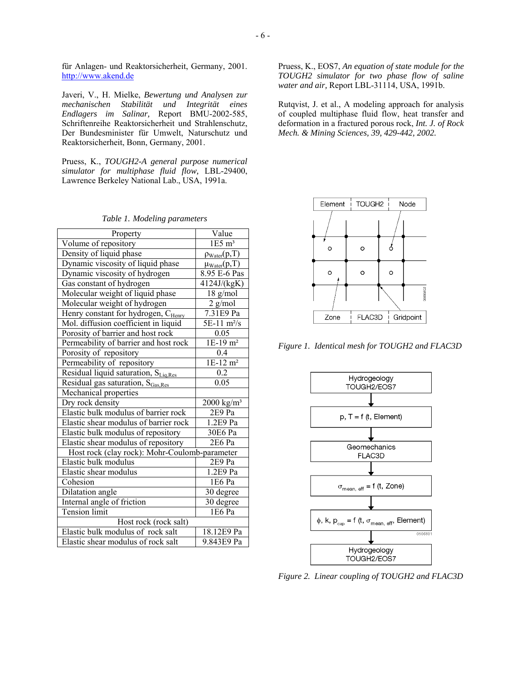für Anlagen- und Reaktorsicherheit, Germany, 2001. [http://www.akend.de](http://www.akend.de/)

Javeri, V., H. Mielke, *Bewertung und Analysen zur mechanischen Stabilität und Integrität eines Endlagers im Salinar,* Report BMU-2002-585, Schriftenreihe Reaktorsicherheit und Strahlenschutz, Der Bundesminister für Umwelt, Naturschutz und Reaktorsicherheit, Bonn, Germany, 2001.

Pruess, K., *TOUGH2-A general purpose numerical simulator for multiphase fluid flow,* LBL-29400, Lawrence Berkeley National Lab., USA, 1991a.

| Property                                        | Value                        |
|-------------------------------------------------|------------------------------|
| Volume of repository                            | $1E5 \text{ m}^3$            |
| Density of liquid phase                         | $\rho_{\text{Water}}(p, T)$  |
| Dynamic viscosity of liquid phase               | $\mu_{\text{Water}}(p, T)$   |
| Dynamic viscosity of hydrogen                   | 8.95 E-6 Pas                 |
| Gas constant of hydrogen                        | 4124J/(kgK)                  |
| Molecular weight of liquid phase                | 18 g/mol                     |
| Molecular weight of hydrogen                    | $2$ g/mol                    |
| Henry constant for hydrogen, C <sub>Henry</sub> | 7.31E9 Pa                    |
| Mol. diffusion coefficient in liquid            | $5E-11 \text{ m}^2/\text{s}$ |
| Porosity of barrier and host rock               | 0.05                         |
| Permeability of barrier and host rock           | $1E-19$ m <sup>2</sup>       |
| Porosity of repository                          | 0.4                          |
| Permeability of repository                      | $1E-12$ m <sup>2</sup>       |
| Residual liquid saturation, SLiq, Res           | 0.2                          |
| Residual gas saturation, S <sub>Gas, Res</sub>  | 0.05                         |
| Mechanical properties                           |                              |
| Dry rock density                                | 2000 kg/m <sup>3</sup>       |
| Elastic bulk modulus of barrier rock            | 2E9 Pa                       |
| Elastic shear modulus of barrier rock           | 1.2E9 Pa                     |
| Elastic bulk modulus of repository              | 30E6 Pa                      |
| Elastic shear modulus of repository             | 2E6 Pa                       |
| Host rock (clay rock): Mohr-Coulomb-parameter   |                              |
| Elastic bulk modulus                            | 2E9 Pa                       |
| Elastic shear modulus                           | 1.2E9 Pa                     |
| Cohesion                                        | 1E6 Pa                       |
| Dilatation angle                                | 30 degree                    |
| Internal angle of friction                      | 30 degree                    |
| Tension limit                                   | 1E6 Pa                       |
| Host rock (rock salt)                           |                              |
| Elastic bulk modulus of rock salt               | 18.12E9 Pa                   |
| Elastic shear modulus of rock salt              | 9.843E9 Pa                   |

*Table 1. Modeling parameters* 

Pruess, K., EOS7, *An equation of state module for the TOUGH2 simulator for two phase flow of saline water and air,* Report LBL-31114, USA, 1991b.

Rutqvist, J. et al., A modeling approach for analysis of coupled multiphase fluid flow, heat transfer and deformation in a fractured porous rock, *Int. J. of Rock Mech. & Mining Sciences, 39, 429-442, 2002.* 



*Figure 1. Identical mesh for TOUGH2 and FLAC3D*



*Figure 2. Linear coupling of TOUGH2 and FLAC3D*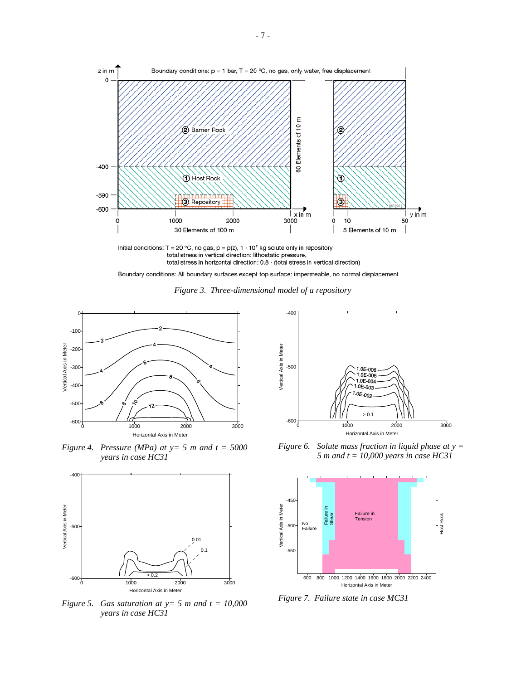

Initial conditions:  $T = 20$  °C, no gas,  $p = p(z)$ ,  $1 \cdot 10^7$  kg solute only in repository total stress in vertical direction: lithostatic pressure, total stress in horizontal direction: 0.8 · (total stress in vertical direction)

Boundary conditions: All boundary surfaces except top surface: impermeable, no normal displacement

*Figure 3. Three-dimensional model of a repository* 



*Figure 4. Pressure (MPa) at*  $y = 5$  *m and*  $t = 5000$ *years in case HC31* 



*Figure 5. Gas saturation at y= 5 m and t = 10,000 years in case HC31* 



*Figure 6. Solute mass fraction in liquid phase at y = 5 m and t = 10,000 years in case HC31*



*Figure 7. Failure state in case MC31*